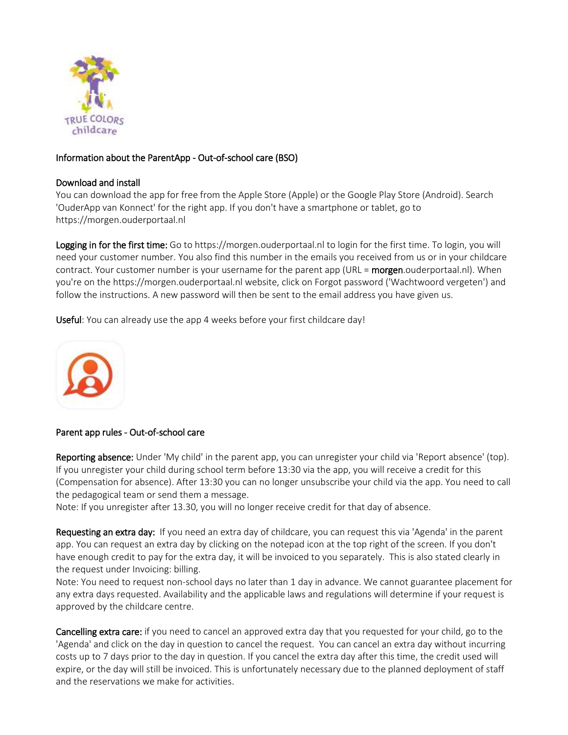

## Information about the ParentApp - Out-of-school care (BSO)

## Download and install

You can download the app for free from the Apple Store (Apple) or the Google Play Store (Android). Search 'OuderApp van Konnect' for the right app. If you don't have a smartphone or tablet, go to https://morgen.ouderportaal.nl

Logging in for the first time: Go to https://morgen.ouderportaal.nl to login for the first time. To login, you will need your customer number. You also find this number in the emails you received from us or in your childcare contract. Your customer number is your username for the parent app (URL = morgen.ouderportaal.nl). When you're on the https://morgen.ouderportaal.nl website, click on Forgot password ('Wachtwoord vergeten') and follow the instructions. A new password will then be sent to the email address you have given us.

Useful: You can already use the app 4 weeks before your first childcare day!



## Parent app rules - Out-of-school care

Reporting absence: Under 'My child' in the parent app, you can unregister your child via 'Report absence' (top). If you unregister your child during school term before 13:30 via the app, you will receive a credit for this (Compensation for absence). After 13:30 you can no longer unsubscribe your child via the app. You need to call the pedagogical team or send them a message.

Note: If you unregister after 13.30, you will no longer receive credit for that day of absence.

Requesting an extra day: If you need an extra day of childcare, you can request this via 'Agenda' in the parent app. You can request an extra day by clicking on the notepad icon at the top right of the screen. If you don't have enough credit to pay for the extra day, it will be invoiced to you separately. This is also stated clearly in the request under Invoicing: billing.

Note: You need to request non-school days no later than 1 day in advance. We cannot guarantee placement for any extra days requested. Availability and the applicable laws and regulations will determine if your request is approved by the childcare centre.

Cancelling extra care: if you need to cancel an approved extra day that you requested for your child, go to the 'Agenda' and click on the day in question to cancel the request. You can cancel an extra day without incurring costs up to 7 days prior to the day in question. If you cancel the extra day after this time, the credit used will expire, or the day will still be invoiced. This is unfortunately necessary due to the planned deployment of staff and the reservations we make for activities.